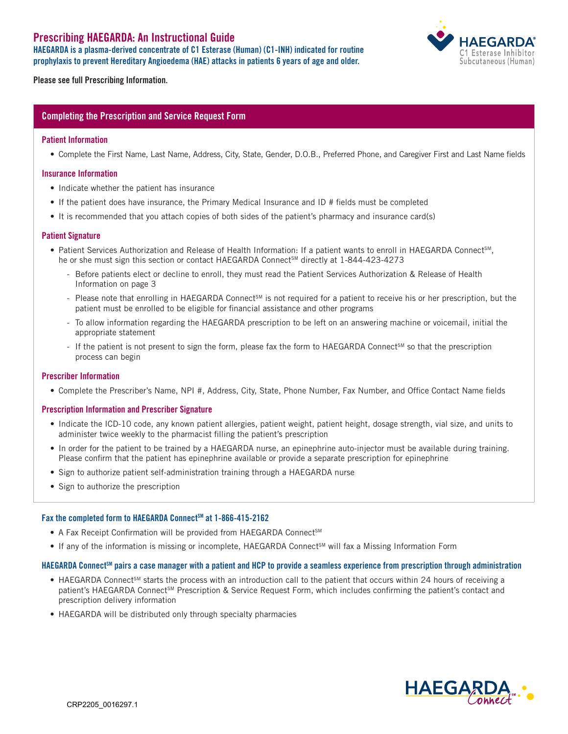# Prescribing HAEGARDA: An Instructional Guide

HAEGARDA is a plasma-derived concentrate of C1 Esterase (Human) (C1-INH) indicated for routine prophylaxis to prevent Hereditary Angioedema (HAE) attacks in patients 6 years of age and older.



Please see full Prescribing Information.

# Completing the Prescription and Service Request Form

#### Patient Information

• Complete the First Name, Last Name, Address, City, State, Gender, D.O.B., Preferred Phone, and Caregiver First and Last Name fields

## Insurance Information

- Indicate whether the patient has insurance
- If the patient does have insurance, the Primary Medical Insurance and ID # fields must be completed
- It is recommended that you attach copies of both sides of the patient's pharmacy and insurance card(s)

#### Patient Signature

- Patient Services Authorization and Release of Health Information: If a patient wants to enroll in HAEGARDA Connect<sup>sM</sup>, he or she must sign this section or contact HAEGARDA Connect<sup>SM</sup> directly at 1-844-423-4273
	- Before patients elect or decline to enroll, they must read the Patient Services Authorization & Release of Health Information on page 3
	- Please note that enrolling in HAEGARDA Connect<sup>SM</sup> is not required for a patient to receive his or her prescription, but the patient must be enrolled to be eligible for financial assistance and other programs
	- To allow information regarding the HAEGARDA prescription to be left on an answering machine or voicemail, initial the appropriate statement
	- If the patient is not present to sign the form, please fax the form to HAEGARDA ConnectSM so that the prescription process can begin

#### Prescriber Information

• Complete the Prescriber's Name, NPI #, Address, City, State, Phone Number, Fax Number, and Office Contact Name fields

#### Prescription Information and Prescriber Signature

- Indicate the ICD-10 code, any known patient allergies, patient weight, patient height, dosage strength, vial size, and units to administer twice weekly to the pharmacist filling the patient's prescription
- In order for the patient to be trained by a HAEGARDA nurse, an epinephrine auto-injector must be available during training. Please confirm that the patient has epinephrine available or provide a separate prescription for epinephrine
- Sign to authorize patient self-administration training through a HAEGARDA nurse
- Sign to authorize the prescription

# Fax the completed form to HAEGARDA Connect<sup>SM</sup> at 1-866-415-2162

- A Fax Receipt Confirmation will be provided from HAEGARDA Connect<sup>SM</sup>
- If any of the information is missing or incomplete, HAEGARDA Connect<sup>SM</sup> will fax a Missing Information Form

#### HAEGARDA Connect<sup>sm</sup> pairs a case manager with a patient and HCP to provide a seamless experience from prescription through administration

- HAEGARDA Connect<sup>sM</sup> starts the process with an introduction call to the patient that occurs within 24 hours of receiving a patient's HAEGARDA Connect<sup>SM</sup> Prescription & Service Request Form, which includes confirming the patient's contact and prescription delivery information
- HAEGARDA will be distributed only through specialty pharmacies

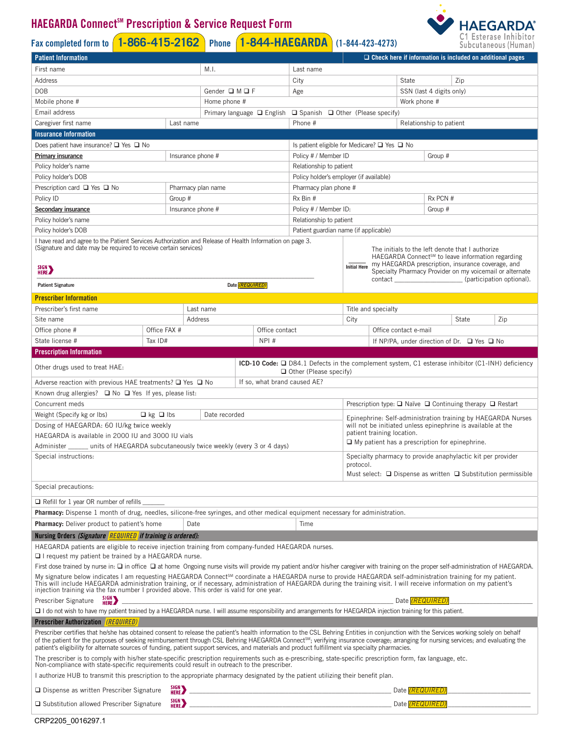# **HAEGARDA Connect<sup>™</sup> Prescription & Service Request Form**

# Fax completed form to **1-866-415-2162** Phone **1-844-HAEGARDA** (1-844-423-4273)



| <b>Patient Information</b>                                                                                                                                                                                                                                                                                                                                                                                                                                                                                                                                                                                                                                                                                                                                                                                                                                                                                              |                                            |                    |                            |                 |                       |                                                                                                                                                                                                                                      |                                                                                                                                                                                                                                                                                                                         |                          |                                                       | $\Box$ Check here if information is included on additional pages |
|-------------------------------------------------------------------------------------------------------------------------------------------------------------------------------------------------------------------------------------------------------------------------------------------------------------------------------------------------------------------------------------------------------------------------------------------------------------------------------------------------------------------------------------------------------------------------------------------------------------------------------------------------------------------------------------------------------------------------------------------------------------------------------------------------------------------------------------------------------------------------------------------------------------------------|--------------------------------------------|--------------------|----------------------------|-----------------|-----------------------|--------------------------------------------------------------------------------------------------------------------------------------------------------------------------------------------------------------------------------------|-------------------------------------------------------------------------------------------------------------------------------------------------------------------------------------------------------------------------------------------------------------------------------------------------------------------------|--------------------------|-------------------------------------------------------|------------------------------------------------------------------|
| First name                                                                                                                                                                                                                                                                                                                                                                                                                                                                                                                                                                                                                                                                                                                                                                                                                                                                                                              |                                            | M.I.               |                            |                 | Last name             |                                                                                                                                                                                                                                      |                                                                                                                                                                                                                                                                                                                         |                          |                                                       |                                                                  |
| Address                                                                                                                                                                                                                                                                                                                                                                                                                                                                                                                                                                                                                                                                                                                                                                                                                                                                                                                 |                                            |                    |                            | City            |                       | $\boxed{\blacktriangledown}$ Zip<br>State                                                                                                                                                                                            |                                                                                                                                                                                                                                                                                                                         |                          |                                                       |                                                                  |
| <b>DOB</b>                                                                                                                                                                                                                                                                                                                                                                                                                                                                                                                                                                                                                                                                                                                                                                                                                                                                                                              |                                            | Gender □ M □ F     |                            |                 | Age                   | SSN (last 4 digits only)                                                                                                                                                                                                             |                                                                                                                                                                                                                                                                                                                         |                          |                                                       |                                                                  |
| Mobile phone #                                                                                                                                                                                                                                                                                                                                                                                                                                                                                                                                                                                                                                                                                                                                                                                                                                                                                                          |                                            | Home phone #       |                            |                 | Work phone #          |                                                                                                                                                                                                                                      |                                                                                                                                                                                                                                                                                                                         |                          |                                                       |                                                                  |
| Email address                                                                                                                                                                                                                                                                                                                                                                                                                                                                                                                                                                                                                                                                                                                                                                                                                                                                                                           |                                            |                    | Primary language □ English |                 |                       | $\Box$ Spanish $\Box$ Other (Please specify)                                                                                                                                                                                         |                                                                                                                                                                                                                                                                                                                         |                          |                                                       |                                                                  |
| Caregiver first name                                                                                                                                                                                                                                                                                                                                                                                                                                                                                                                                                                                                                                                                                                                                                                                                                                                                                                    |                                            | Last name          |                            |                 |                       | Phone #                                                                                                                                                                                                                              |                                                                                                                                                                                                                                                                                                                         |                          | Relationship to patient                               |                                                                  |
| <b>Insurance Information</b>                                                                                                                                                                                                                                                                                                                                                                                                                                                                                                                                                                                                                                                                                                                                                                                                                                                                                            |                                            |                    |                            |                 |                       |                                                                                                                                                                                                                                      |                                                                                                                                                                                                                                                                                                                         |                          |                                                       |                                                                  |
| Does patient have insurance? $\square$ Yes $\square$ No<br>Is patient eligible for Medicare? $\square$ Yes $\square$ No                                                                                                                                                                                                                                                                                                                                                                                                                                                                                                                                                                                                                                                                                                                                                                                                 |                                            |                    |                            |                 |                       |                                                                                                                                                                                                                                      |                                                                                                                                                                                                                                                                                                                         |                          |                                                       |                                                                  |
| Insurance phone #<br><b>Primary insurance</b>                                                                                                                                                                                                                                                                                                                                                                                                                                                                                                                                                                                                                                                                                                                                                                                                                                                                           |                                            |                    |                            |                 |                       | Policy # / Member ID                                                                                                                                                                                                                 | Group #                                                                                                                                                                                                                                                                                                                 |                          |                                                       |                                                                  |
| Policy holder's name                                                                                                                                                                                                                                                                                                                                                                                                                                                                                                                                                                                                                                                                                                                                                                                                                                                                                                    |                                            |                    |                            |                 |                       | Relationship to patient                                                                                                                                                                                                              |                                                                                                                                                                                                                                                                                                                         |                          |                                                       |                                                                  |
| Policy holder's DOB                                                                                                                                                                                                                                                                                                                                                                                                                                                                                                                                                                                                                                                                                                                                                                                                                                                                                                     |                                            |                    |                            |                 |                       | Policy holder's employer (if available)                                                                                                                                                                                              |                                                                                                                                                                                                                                                                                                                         |                          |                                                       |                                                                  |
| Prescription card $\Box$ Yes $\Box$ No                                                                                                                                                                                                                                                                                                                                                                                                                                                                                                                                                                                                                                                                                                                                                                                                                                                                                  |                                            | Pharmacy plan name |                            |                 | Pharmacy plan phone # |                                                                                                                                                                                                                                      |                                                                                                                                                                                                                                                                                                                         |                          |                                                       |                                                                  |
| Policy ID                                                                                                                                                                                                                                                                                                                                                                                                                                                                                                                                                                                                                                                                                                                                                                                                                                                                                                               |                                            | Group #            |                            |                 | Rx PCN #<br>Rx Bin #  |                                                                                                                                                                                                                                      |                                                                                                                                                                                                                                                                                                                         |                          |                                                       |                                                                  |
| <b>Secondary insurance</b>                                                                                                                                                                                                                                                                                                                                                                                                                                                                                                                                                                                                                                                                                                                                                                                                                                                                                              |                                            | Insurance phone #  |                            |                 |                       | Policy # / Member ID:                                                                                                                                                                                                                | Group #                                                                                                                                                                                                                                                                                                                 |                          |                                                       |                                                                  |
| Policy holder's name                                                                                                                                                                                                                                                                                                                                                                                                                                                                                                                                                                                                                                                                                                                                                                                                                                                                                                    |                                            |                    |                            |                 |                       | Relationship to patient                                                                                                                                                                                                              |                                                                                                                                                                                                                                                                                                                         |                          |                                                       |                                                                  |
| Policy holder's DOB                                                                                                                                                                                                                                                                                                                                                                                                                                                                                                                                                                                                                                                                                                                                                                                                                                                                                                     |                                            |                    |                            |                 |                       |                                                                                                                                                                                                                                      | Patient guardian name (if applicable)                                                                                                                                                                                                                                                                                   |                          |                                                       |                                                                  |
| I have read and agree to the Patient Services Authorization and Release of Health Information on page 3.<br>(Signature and date may be required to receive certain services)<br>SIGN <sub>N</sub>                                                                                                                                                                                                                                                                                                                                                                                                                                                                                                                                                                                                                                                                                                                       |                                            |                    |                            |                 |                       |                                                                                                                                                                                                                                      | The initials to the left denote that I authorize<br>HAEGARDA Connect <sup>sM</sup> to leave information regarding<br>my HAEGARDA prescription, insurance coverage, and<br><b>Initial Here</b><br>Specialty Pharmacy Provider on my voicemail or alternate<br>contact _________________________(participation optional). |                          |                                                       |                                                                  |
| <b>Patient Signature</b>                                                                                                                                                                                                                                                                                                                                                                                                                                                                                                                                                                                                                                                                                                                                                                                                                                                                                                |                                            |                    |                            | Date (REQUIRED) |                       |                                                                                                                                                                                                                                      |                                                                                                                                                                                                                                                                                                                         |                          |                                                       |                                                                  |
| <b>Prescriber Information</b>                                                                                                                                                                                                                                                                                                                                                                                                                                                                                                                                                                                                                                                                                                                                                                                                                                                                                           |                                            |                    |                            |                 |                       |                                                                                                                                                                                                                                      |                                                                                                                                                                                                                                                                                                                         |                          |                                                       |                                                                  |
| Prescriber's first name                                                                                                                                                                                                                                                                                                                                                                                                                                                                                                                                                                                                                                                                                                                                                                                                                                                                                                 |                                            | Last name          |                            |                 |                       |                                                                                                                                                                                                                                      | Title and specialty                                                                                                                                                                                                                                                                                                     |                          |                                                       |                                                                  |
| Site name                                                                                                                                                                                                                                                                                                                                                                                                                                                                                                                                                                                                                                                                                                                                                                                                                                                                                                               |                                            | Address            |                            |                 |                       |                                                                                                                                                                                                                                      | City                                                                                                                                                                                                                                                                                                                    |                          | State                                                 | $\vert \blacktriangleright$ Zip                                  |
| Office phone #                                                                                                                                                                                                                                                                                                                                                                                                                                                                                                                                                                                                                                                                                                                                                                                                                                                                                                          | Office FAX #                               |                    |                            |                 | Office contact        |                                                                                                                                                                                                                                      |                                                                                                                                                                                                                                                                                                                         | Office contact e-mail    |                                                       |                                                                  |
| State license #                                                                                                                                                                                                                                                                                                                                                                                                                                                                                                                                                                                                                                                                                                                                                                                                                                                                                                         | Tax ID#                                    |                    |                            |                 | NPI#                  |                                                                                                                                                                                                                                      |                                                                                                                                                                                                                                                                                                                         |                          | If NP/PA, under direction of Dr. $\Box$ Yes $\Box$ No |                                                                  |
| <b>Prescription Information</b>                                                                                                                                                                                                                                                                                                                                                                                                                                                                                                                                                                                                                                                                                                                                                                                                                                                                                         |                                            |                    |                            |                 |                       |                                                                                                                                                                                                                                      |                                                                                                                                                                                                                                                                                                                         |                          |                                                       |                                                                  |
| ICD-10 Code: □ D84.1 Defects in the complement system, C1 esterase inhibitor (C1-INH) deficiency<br>Other drugs used to treat HAE:<br>$\Box$ Other (Please specify)<br>Adverse reaction with previous HAE treatments? $\Box$ Yes $\Box$ No<br>If so, what brand caused AE?                                                                                                                                                                                                                                                                                                                                                                                                                                                                                                                                                                                                                                              |                                            |                    |                            |                 |                       |                                                                                                                                                                                                                                      |                                                                                                                                                                                                                                                                                                                         |                          |                                                       |                                                                  |
| Known drug allergies? $\Box$ No $\Box$ Yes If yes, please list:<br>Concurrent meds<br>Prescription type: $\Box$ Naïve $\Box$ Continuing therapy $\Box$ Restart                                                                                                                                                                                                                                                                                                                                                                                                                                                                                                                                                                                                                                                                                                                                                          |                                            |                    |                            |                 |                       |                                                                                                                                                                                                                                      |                                                                                                                                                                                                                                                                                                                         |                          |                                                       |                                                                  |
|                                                                                                                                                                                                                                                                                                                                                                                                                                                                                                                                                                                                                                                                                                                                                                                                                                                                                                                         |                                            |                    |                            |                 |                       |                                                                                                                                                                                                                                      |                                                                                                                                                                                                                                                                                                                         |                          |                                                       |                                                                  |
| Date recorded<br>Weight (Specify kg or Ibs)<br>$\Box$ kg $\Box$ lbs<br>Epinephrine: Self-administration training by HAEGARDA Nurses<br>Dosing of HAEGARDA: 60 IU/kg twice weekly<br>will not be initiated unless epinephrine is available at the<br>patient training location.<br>HAEGARDA is available in 2000 IU and 3000 IU vials<br>$\Box$ My patient has a prescription for epinephrine.<br>Administer ______ units of HAEGARDA subcutaneously twice weekly (every 3 or 4 days)<br>Specialty pharmacy to provide anaphylactic kit per provider<br>Special instructions:<br>protocol.                                                                                                                                                                                                                                                                                                                               |                                            |                    |                            |                 |                       | Must select: $\Box$ Dispense as written $\Box$ Substitution permissible                                                                                                                                                              |                                                                                                                                                                                                                                                                                                                         |                          |                                                       |                                                                  |
| Special precautions:                                                                                                                                                                                                                                                                                                                                                                                                                                                                                                                                                                                                                                                                                                                                                                                                                                                                                                    |                                            |                    |                            |                 |                       |                                                                                                                                                                                                                                      |                                                                                                                                                                                                                                                                                                                         |                          |                                                       |                                                                  |
| $\Box$ Refill for 1 year OR number of refills $\Box$                                                                                                                                                                                                                                                                                                                                                                                                                                                                                                                                                                                                                                                                                                                                                                                                                                                                    |                                            |                    |                            |                 |                       |                                                                                                                                                                                                                                      |                                                                                                                                                                                                                                                                                                                         |                          |                                                       |                                                                  |
| Pharmacy: Dispense 1 month of drug, needles, silicone-free syringes, and other medical equipment necessary for administration.                                                                                                                                                                                                                                                                                                                                                                                                                                                                                                                                                                                                                                                                                                                                                                                          |                                            |                    |                            |                 |                       |                                                                                                                                                                                                                                      |                                                                                                                                                                                                                                                                                                                         |                          |                                                       |                                                                  |
| Pharmacy: Deliver product to patient's home<br>Date<br>Time                                                                                                                                                                                                                                                                                                                                                                                                                                                                                                                                                                                                                                                                                                                                                                                                                                                             |                                            |                    |                            |                 |                       |                                                                                                                                                                                                                                      |                                                                                                                                                                                                                                                                                                                         |                          |                                                       |                                                                  |
| Nursing Orders (Signature REQUIRED if training is ordered):<br>HAEGARDA patients are eligible to receive injection training from company-funded HAEGARDA nurses.<br>$\Box$ I request my patient be trained by a HAEGARDA nurse.<br>First dose trained by nurse in: $\Box$ in office $\Box$ at home Ongoing nurse visits will provide my patient and/or his/her caregiver with training on the proper self-administration of HAEGARDA.<br>My signature below indicates I am requesting HAEGARDA Connect <sup>sM</sup> coordinate a HAEGARDA nurse to provide HAEGARDA self-administration training for my patient.<br>This will include HAEGARDA administration training, or if nece<br>SIGN <sub>3</sub><br>Prescriber Signature<br>Date (REQUIRED)                                                                                                                                                                     |                                            |                    |                            |                 |                       |                                                                                                                                                                                                                                      |                                                                                                                                                                                                                                                                                                                         |                          |                                                       |                                                                  |
| □ I do not wish to have my patient trained by a HAEGARDA nurse. I will assume responsibility and arrangements for HAEGARDA injection training for this patient.                                                                                                                                                                                                                                                                                                                                                                                                                                                                                                                                                                                                                                                                                                                                                         |                                            |                    |                            |                 |                       |                                                                                                                                                                                                                                      |                                                                                                                                                                                                                                                                                                                         |                          |                                                       |                                                                  |
|                                                                                                                                                                                                                                                                                                                                                                                                                                                                                                                                                                                                                                                                                                                                                                                                                                                                                                                         | <b>Prescriber Authorization</b> (REQUIRED) |                    |                            |                 |                       |                                                                                                                                                                                                                                      |                                                                                                                                                                                                                                                                                                                         |                          |                                                       |                                                                  |
| Prescriber certifies that he/she has obtained consent to release the patient's health information to the CSL Behring Entities in conjunction with the Services working solely on behalf<br>of the patient for the purposes of seeking reimbursement through CSL Behring HAEGARDA Connect <sup>sM</sup> ; verifying insurance coverage; arranging for nursing services; and evaluating the<br>patient's eligibility for alternate sources of funding, patient support services, and materials and product fulfillment via specialty pharmacies.<br>The prescriber is to comply with his/her state-specific prescription requirements such as e-prescribing, state-specific prescription form, fax language, etc.<br>Non-compliance with state-specific requirements could result in<br>I authorize HUB to transmit this prescription to the appropriate pharmacy designated by the patient utilizing their benefit plan. |                                            |                    |                            |                 |                       |                                                                                                                                                                                                                                      |                                                                                                                                                                                                                                                                                                                         |                          |                                                       |                                                                  |
| $\Box$ Dispense as written Prescriber Signature                                                                                                                                                                                                                                                                                                                                                                                                                                                                                                                                                                                                                                                                                                                                                                                                                                                                         |                                            | SIGN <sub>N</sub>  |                            |                 |                       | <u> 1980 - Johann John Harry Harry Harry Harry Harry Harry Harry Harry Harry Harry Harry Harry Harry Harry Harry Harry Harry Harry Harry Harry Harry Harry Harry Harry Harry Harry Harry Harry Harry Harry Harry Harry Harry Har</u> |                                                                                                                                                                                                                                                                                                                         | Date ( <i>REQUIRED</i> ) |                                                       |                                                                  |
| SIGN <sub>N</sub><br>□ Substitution allowed Prescriber Signature                                                                                                                                                                                                                                                                                                                                                                                                                                                                                                                                                                                                                                                                                                                                                                                                                                                        |                                            |                    |                            |                 | Date (REQUIRED)       |                                                                                                                                                                                                                                      |                                                                                                                                                                                                                                                                                                                         |                          |                                                       |                                                                  |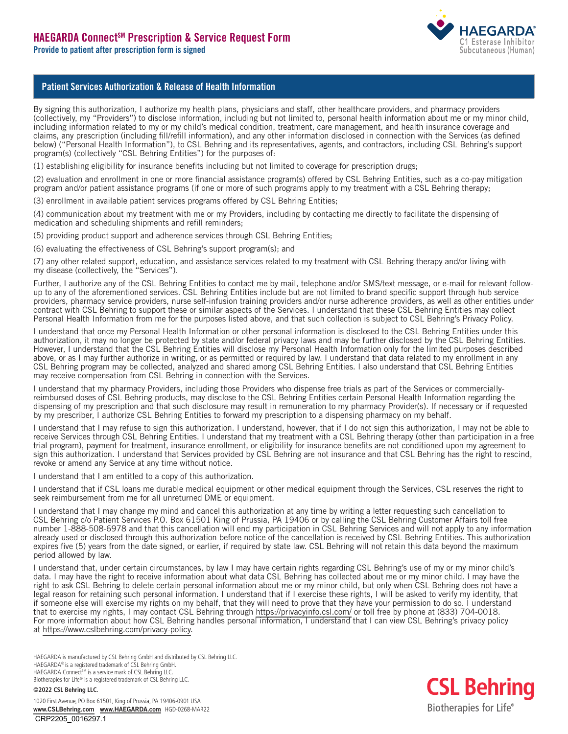

# Patient Services Authorization & Release of Health Information

By signing this authorization, I authorize my health plans, physicians and staff, other healthcare providers, and pharmacy providers (collectively, my "Providers") to disclose information, including but not limited to, personal health information about me or my minor child, including information related to my or my child's medical condition, treatment, care management, and health insurance coverage and claims, any prescription (including fill/refill information), and any other information disclosed in connection with the Services (as defined below) ("Personal Health Information"), to CSL Behring and its representatives, agents, and contractors, including CSL Behring's support program(s) (collectively "CSL Behring Entities") for the purposes of:

(1) establishing eligibility for insurance benefits including but not limited to coverage for prescription drugs;

(2) evaluation and enrollment in one or more financial assistance program(s) offered by CSL Behring Entities, such as a co-pay mitigation program and/or patient assistance programs (if one or more of such programs apply to my treatment with a CSL Behring therapy;

(3) enrollment in available patient services programs offered by CSL Behring Entities;

(4) communication about my treatment with me or my Providers, including by contacting me directly to facilitate the dispensing of medication and scheduling shipments and refill reminders;

(5) providing product support and adherence services through CSL Behring Entities;

(6) evaluating the effectiveness of CSL Behring's support program(s); and

(7) any other related support, education, and assistance services related to my treatment with CSL Behring therapy and/or living with my disease (collectively, the "Services").

Further, I authorize any of the CSL Behring Entities to contact me by mail, telephone and/or SMS/text message, or e-mail for relevant followup to any of the aforementioned services. CSL Behring Entities include but are not limited to brand specific support through hub service providers, pharmacy service providers, nurse self-infusion training providers and/or nurse adherence providers, as well as other entities under contract with CSL Behring to support these or similar aspects of the Services. I understand that these CSL Behring Entities may collect Personal Health Information from me for the purposes listed above, and that such collection is subject to CSL Behring's Privacy Policy.

I understand that once my Personal Health Information or other personal information is disclosed to the CSL Behring Entities under this authorization, it may no longer be protected by state and/or federal privacy laws and may be further disclosed by the CSL Behring Entities. However, I understand that the CSL Behring Entities will disclose my Personal Health Information only for the limited purposes described above, or as I may further authorize in writing, or as permitted or required by law. I understand that data related to my enrollment in any CSL Behring program may be collected, analyzed and shared among CSL Behring Entities. I also understand that CSL Behring Entities may receive compensation from CSL Behring in connection with the Services.

I understand that my pharmacy Providers, including those Providers who dispense free trials as part of the Services or commerciallyreimbursed doses of CSL Behring products, may disclose to the CSL Behring Entities certain Personal Health Information regarding the dispensing of my prescription and that such disclosure may result in remuneration to my pharmacy Provider(s). If necessary or if requested by my prescriber, I authorize CSL Behring Entities to forward my prescription to a dispensing pharmacy on my behalf.

I understand that I may refuse to sign this authorization. I understand, however, that if I do not sign this authorization, I may not be able to receive Services through CSL Behring Entities. I understand that my treatment with a CSL Behring therapy (other than participation in a free trial program), payment for treatment, insurance enrollment, or eligibility for insurance benefits are not conditioned upon my agreement to sign this authorization. I understand that Services provided by CSL Behring are not insurance and that CSL Behring has the right to rescind, revoke or amend any Service at any time without notice.

I understand that I am entitled to a copy of this authorization.

I understand that if CSL loans me durable medical equipment or other medical equipment through the Services, CSL reserves the right to seek reimbursement from me for all unreturned DME or equipment.

I understand that I may change my mind and cancel this authorization at any time by writing a letter requesting such cancellation to CSL Behring c/o Patient Services P.O. Box 61501 King of Prussia, PA 19406 or by calling the CSL Behring Customer Affairs toll free number 1-888-508-6978 and that this cancellation will end my participation in CSL Behring Services and will not apply to any information already used or disclosed through this authorization before notice of the cancellation is received by CSL Behring Entities. This authorization expires five (5) years from the date signed, or earlier, if required by state law. CSL Behring will not retain this data beyond the maximum period allowed by law.

I understand that, under certain circumstances, by law I may have certain rights regarding CSL Behring's use of my or my minor child's data. I may have the right to receive information about what data CSL Behring has collected about me or my minor child. I may have the right to ask CSL Behring to delete certain personal information about me or my minor child, but only when CSL Behring does not have a legal reason for retaining such personal information. I understand that if I exercise these rights, I will be asked to verify my identity, that if someone else will exercise my rights on my behalf, that they will need to prove that they have your permission to do so. I understand that to exercise my rights, I may contact CSL Behring through <https://privacyinfo.csl.com/> or toll free by phone at (833) 704-0018. For more information about how CSL Behring handles personal information, I understand that I can view CSL Behring's privacy policy at [https://www.cslbehring.com/privacy-policy.](https://www.cslbehring.com/privacy-policy)

HAEGARDA is manufactured by CSL Behring GmbH and distributed by CSL Behring LLC. HAEGARDA® is a registered trademark of CSL Behring GmbH. HAEGARDA Connect<sup>SM</sup> is a service mark of CSL Behring LLC. Biotherapies for Life® is a registered trademark of CSL Behring LLC.

**©2022 CSL Behring LLC.**

1020 First Avenue, PO Box 61501, King of Prussia, PA 19406-0901 USA [www.CSLBehring.com](https://www.cslbehring.com/) [www.HAEGARDA.com](https://www.haegarda.com/) HGD-0268-MAR22 CRP2205\_0016297.1

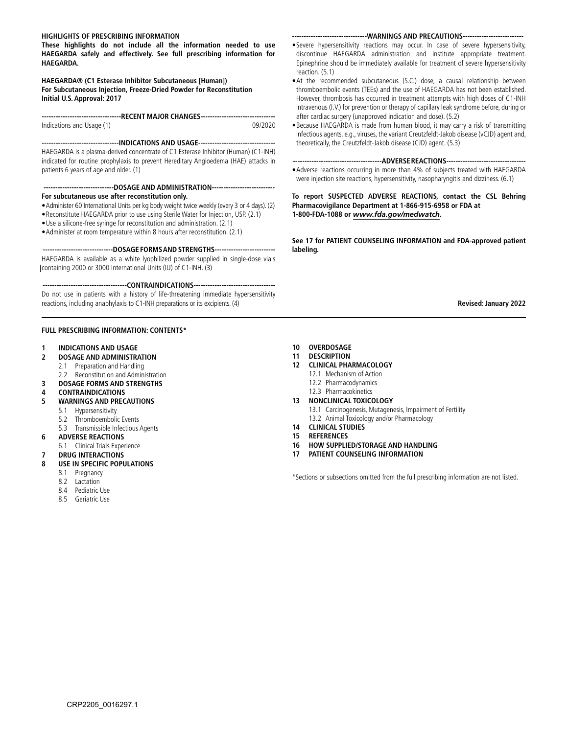#### **HIGHLIGHTS OF PRESCRIBING INFORMATION**

**These highlights do not include all the information needed to use HAEGARDA safely and effectively. See full prescribing information for HAEGARDA.**

**HAEGARDA® (C1 Esterase Inhibitor Subcutaneous [Human]) For Subcutaneous Injection, Freeze-Dried Powder for Reconstitution Initial U.S. Approval: 2017**

**----------------------------------RECENT MAJOR CHANGES--------------------------------** Indications and Usage (1) 09/2020

**---------------------------------INDICATIONS AND USAGE---------------------------------**  HAEGARDA is a plasma-derived concentrate of C1 Esterase Inhibitor (Human) (C1-INH) indicated for routine prophylaxis to prevent Hereditary Angioedema (HAE) attacks in patients 6 years of age and older. (1)

**------------------------------DOSAGE AND ADMINISTRATION--------------------------- For subcutaneous use after reconstitution only.**

- •Administer 60 International Units per kg body weight twice weekly (every 3 or 4 days). (2) •Reconstitute HAEGARDA prior to use using Sterile Water for Injection, USP. (2.1)
- •Use a silicone-free syringe for reconstitution and administration. (2.1)
- •Administer at room temperature within 8 hours after reconstitution. (2.1)

 **------------------------------DOSAGE FORMS AND STRENGTHS--------------------------**  HAEGARDA is available as a white lyophilized powder supplied in single-dose vials containing 2000 or 3000 International Units (IU) of C1-INH. (3)

 **------------------------------------CONTRAINDICATIONS-----------------------------------**  Do not use in patients with a history of life-threatening immediate hypersensitivity reactions, including anaphylaxis to C1-INH preparations or its excipients. (4)

#### **FULL PRESCRIBING INFORMATION: CONTENTS\***

- **1 [INDICATIONS AND USAGE](#page-4-0)**
- **2 [DOSAGE AND ADMINISTRATION](#page-4-0)**
	- 2.1 [Preparation and Handling](#page-4-0)
	- 2.2 [Reconstitution and Administration](#page-4-0)
- **3 [DOSAGE FORMS AND STRENGTHS](#page-5-0)**
- **4 [CONTRAINDICATIONS](#page-5-0)**
- **5 [WARNINGS AND PRECAUTIONS](#page-5-0)**
	- 5.1 [Hypersensitivity](#page-5-0)
	- 5.2 [Thromboembolic Events](#page-5-0)
- 5.3 [Transmissible Infectious Agents](#page-5-0)
- **6 [ADVERSE REACTIONS](#page-5-0)**
- 6.1 [Clinical Trials Experience](#page-5-0)
- **7 [DRUG INTERACTIONS](#page-5-0)**
- **8 [USE IN SPECIFIC POPULATIONS](#page-5-0)**
	- 8.1 [Pregnancy](#page-5-0)
	- 8.2 [Lactation](#page-5-0)
	- 8.4 [Pediatric Use](#page-5-0)
	- 8.5 [Geriatric Use](#page-5-0)

#### **--------------------------------WARNINGS AND PRECAUTIONS--------------------------**

- •Severe hypersensitivity reactions may occur. In case of severe hypersensitivity, discontinue HAEGARDA administration and institute appropriate treatment. Epinephrine should be immediately available for treatment of severe hypersensitivity reaction. (5.1)
- •At the recommended subcutaneous (S.C.) dose, a causal relationship between thromboembolic events (TEEs) and the use of HAEGARDA has not been established. However, thrombosis has occurred in treatment attempts with high doses of C1-INH intravenous (I.V.) for prevention or therapy of capillary leak syndrome before, during or after cardiac surgery (unapproved indication and dose). (5.2)
- •Because HAEGARDA is made from human blood, it may carry a risk of transmitting infectious agents, e.g., viruses, the variant Creutzfeldt-Jakob disease (vCJD) agent and, theoretically, the Creutzfeldt-Jakob disease (CJD) agent. (5.3)

#### **--------------------------------------ADVERSE REACTIONS----------------------------------**

•Adverse reactions occurring in more than 4% of subjects treated with HAEGARDA were injection site reactions, hypersensitivity, nasopharyngitis and dizziness. (6.1)

**To report SUSPECTED ADVERSE REACTIONS, contact the CSL Behring Pharmacovigilance Department at 1-866-915-6958 or FDA at 1-800-FDA-1088 or** *[www.fda.gov/medwatch](https://www.fda.gov/safety/medwatch-fda-safety-information-and-adverse-event-reporting-program).*

**See 17 for PATIENT COUNSELING INFORMATION and FDA-approved patient labeling.**

 **Revised: January 2022**

- **10 [OVERDOSAGE](#page-6-0)**
- **11 [DESCRIPTION](#page-6-0)**
- **12 [CLINICAL PHARMACOLOGY](#page-6-0)**
	- 12.1 [Mechanism of Action](#page-6-0)
	- 12.2 [Pharmacodynamics](#page-6-0)
	- 12.3 [Pharmacokinetics](#page-6-0)
- **13 [NONCLINICAL TOXICOLOGY](#page-6-0)**
	- 13.1 [Carcinogenesis, Mutagenesis, Impairment of Fertility](#page-6-0)
	- 13.2 [Animal Toxicology and/or Pharmacology](#page-6-0)
- **14 [CLINICAL STUDIES](#page-6-0)**
- **15 [REFERENCES](#page-7-0)**
- **16 [HOW SUPPLIED/STORAGE AND HANDLING](#page-7-0)**
- **17 [PATIENT COUNSELING INFORMATION](#page-7-0)**

\*Sections or subsections omitted from the full prescribing information are not listed.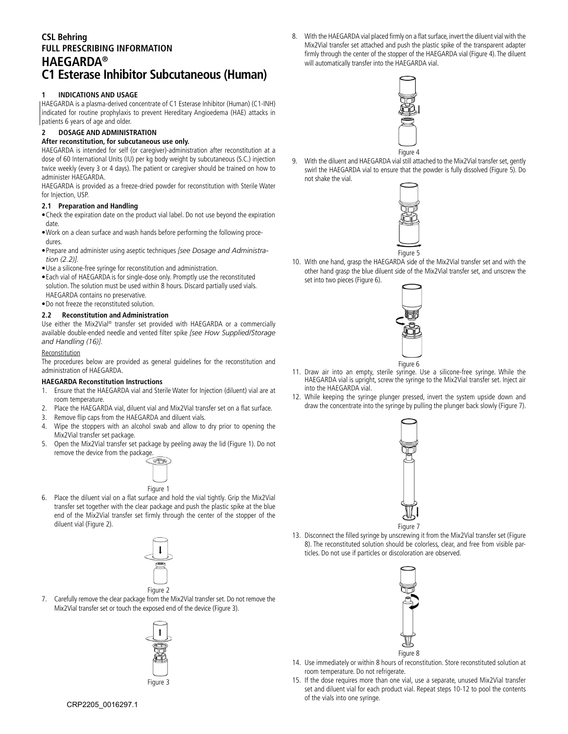# <span id="page-4-0"></span>**CSL Behring FULL PRESCRIBING INFORMATION HAEGARDA® C1 Esterase Inhibitor Subcutaneous (Human)**

## **1 INDICATIONS AND USAGE**

HAEGARDA is a plasma-derived concentrate of C1 Esterase Inhibitor (Human) (C1-INH) indicated for routine prophylaxis to prevent Hereditary Angioedema (HAE) attacks in patients 6 years of age and older.

# **2 DOSAGE AND ADMINISTRATION**

#### **After reconstitution, for subcutaneous use only.**

HAEGARDA is intended for self (or caregiver)-administration after reconstitution at a dose of 60 International Units (IU) per kg body weight by subcutaneous (S.C.) injection twice weekly (every 3 or 4 days). The patient or caregiver should be trained on how to administer HAEGARDA.

HAEGARDA is provided as a freeze-dried powder for reconstitution with Sterile Water for Injection, USP.

#### **2.1 Preparation and Handling**

•Check the expiration date on the product vial label. Do not use beyond the expiration date.

- •Work on a clean surface and wash hands before performing the following procedures.
- •Prepare and administer using aseptic techniques *[see Dosage and Administration (2.2)].*
- •Use a silicone-free syringe for reconstitution and administration.
- •Each vial of HAEGARDA is for single-dose only. Promptly use the reconstituted solution. The solution must be used within 8 hours. Discard partially used vials. HAEGARDA contains no preservative.
- •Do not freeze the reconstituted solution.

#### **2.2 Reconstitution and Administration**

Use either the Mix2Vial® transfer set provided with HAEGARDA or a commercially available double-ended needle and vented filter spike *[see How Supplied/Storage and Handling (16)]*.

#### Reconstitution

The procedures below are provided as general guidelines for the reconstitution and administration of HAEGARDA.

#### **HAEGARDA Reconstitution Instructions**

- 1. Ensure that the HAEGARDA vial and Sterile Water for Injection (diluent) vial are at room temperature.
- 2. Place the HAEGARDA vial, diluent vial and Mix2Vial transfer set on a flat surface.
- 3. Remove flip caps from the HAEGARDA and diluent vials.
- 4. Wipe the stoppers with an alcohol swab and allow to dry prior to opening the Mix2Vial transfer set package.
- 5. Open the Mix2Vial transfer set package by peeling away the lid (Figure 1). Do not remove the device from the package.



6. Place the diluent vial on a flat surface and hold the vial tightly. Grip the Mix2Vial transfer set together with the clear package and push the plastic spike at the blue end of the Mix2Vial transfer set firmly through the center of the stopper of the diluent vial (Figure 2).



7. Carefully remove the clear package from the Mix2Vial transfer set. Do not remove the Mix2Vial transfer set or touch the exposed end of the device (Figure 3).



Figure 3

8. With the HAEGARDA vial placed firmly on a flat surface, invert the diluent vial with the Mix2Vial transfer set attached and push the plastic spike of the transparent adapter firmly through the center of the stopper of the HAEGARDA vial (Figure 4). The diluent will automatically transfer into the HAEGARDA vial.



9. With the diluent and HAEGARDA vial still attached to the Mix2Vial transfer set, gently swirl the HAEGARDA vial to ensure that the powder is fully dissolved (Figure 5). Do not shake the vial.



10. With one hand, grasp the HAEGARDA side of the Mix2Vial transfer set and with the other hand grasp the blue diluent side of the Mix2Vial transfer set, and unscrew the set into two pieces (Figure 6).



- 11. Draw air into an empty, sterile syringe. Use a silicone-free syringe. While the HAEGARDA vial is upright, screw the syringe to the Mix2Vial transfer set. Inject air into the HAEGARDA vial.
- 12. While keeping the syringe plunger pressed, invert the system upside down and draw the concentrate into the syringe by pulling the plunger back slowly (Figure 7).



13. Disconnect the filled syringe by unscrewing it from the Mix2Vial transfer set (Figure 8). The reconstituted solution should be colorless, clear, and free from visible particles. Do not use if particles or discoloration are observed.



- 14. Use immediately or within 8 hours of reconstitution. Store reconstituted solution at room temperature. Do not refrigerate.
- 15. If the dose requires more than one vial, use a separate, unused Mix2Vial transfer set and diluent vial for each product vial. Repeat steps 10-12 to pool the contents of the vials into one syringe.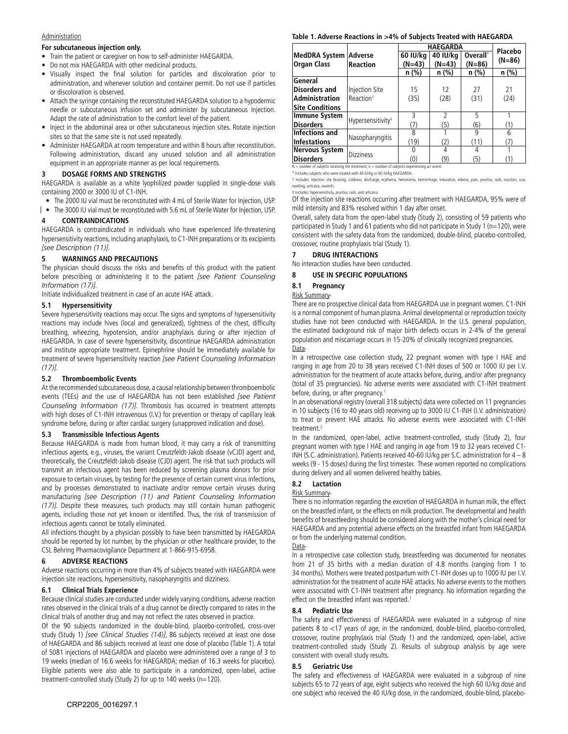#### <span id="page-5-0"></span>**Administration**

#### **For subcutaneous injection only.**

- Train the patient or caregiver on how to self-administer HAEGARDA.
- Do not mix HAEGARDA with other medicinal products.
- Visually inspect the final solution for particles and discoloration prior to administration, and whenever solution and container permit. Do not use if particles or discoloration is observed.
- Attach the syringe containing the reconstituted HAEGARDA solution to a hypodermic needle or subcutaneous infusion set and administer by subcutaneous injection. Adapt the rate of administration to the comfort level of the patient.
- Inject in the abdominal area or other subcutaneous injection sites. Rotate injection sites so that the same site is not used repeatedly.
- Administer HAEGARDA at room temperature and within 8 hours after reconstitution. Following administration, discard any unused solution and all administration equipment in an appropriate manner as per local requirements.

#### **3 DOSAGE FORMS AND STRENGTHS**

HAEGARDA is available as a white lyophilized powder supplied in single-dose vials containing 2000 or 3000 IU of C1-INH.

- The 2000 IU vial must be reconstituted with 4 mL of Sterile Water for Injection, USP.
- The 3000 IU vial must be reconstituted with 5.6 mL of Sterile Water for Injection, USP.

#### **4 CONTRAINDICATIONS**

HAEGARDA is contraindicated in individuals who have experienced life-threatening hypersensitivity reactions, including anaphylaxis, to C1-INH preparations or its excipients *[see Description (11)].*

#### **5 WARNINGS AND PRECAUTIONS**

The physician should discuss the risks and benefits of this product with the patient before prescribing or administering it to the patient *[see Patient Counseling Information (17)].*

Initiate individualized treatment in case of an acute HAE attack.

#### **5.1 Hypersensitivity**

Severe hypersensitivity reactions may occur. The signs and symptoms of hypersensitivity reactions may include hives (local and generalized), tightness of the chest, difficulty breathing, wheezing, hypotension, and/or anaphylaxis during or after injection of HAEGARDA. In case of severe hypersensitivity, discontinue HAEGARDA administration and institute appropriate treatment. Epinephrine should be immediately available for treatment of severe hypersensitivity reaction *[see Patient Counseling Information (17)].*

#### **5.2 Thromboembolic Events**

At the recommended subcutaneous dose, a causal relationship between thromboembolic events (TEEs) and the use of HAEGARDA has not been established *[see Patient Counseling Information (17)]*. Thrombosis has occurred in treatment attempts with high doses of C1-INH intravenous (I.V.) for prevention or therapy of capillary leak syndrome before, during or after cardiac surgery (unapproved indication and dose).

#### **5.3 Transmissible Infectious Agents**

Because HAEGARDA is made from human blood, it may carry a risk of transmitting infectious agents, e.g., viruses, the variant Creutzfeldt-Jakob disease (vCJD) agent and, theoretically, the Creutzfeldt-Jakob disease (CJD) agent. The risk that such products will transmit an infectious agent has been reduced by screening plasma donors for prior exposure to certain viruses, by testing for the presence of certain current virus infections, and by processes demonstrated to inactivate and/or remove certain viruses during manufacturing *[see Description (11) and Patient Counseling Information (17)]*. Despite these measures, such products may still contain human pathogenic agents, including those not yet known or identified. Thus, the risk of transmission of infectious agents cannot be totally eliminated.

All infections thought by a physician possibly to have been transmitted by HAEGARDA should be reported by lot number, by the physician or other healthcare provider, to the CSL Behring Pharmacovigilance Department at 1-866-915-6958.

#### **6 ADVERSE REACTIONS**

Adverse reactions occurring in more than 4% of subjects treated with HAEGARDA were injection site reactions, hypersensitivity, nasopharyngitis and dizziness.

#### **6.1 Clinical Trials Experience**

Because clinical studies are conducted under widely varying conditions, adverse reaction rates observed in the clinical trials of a drug cannot be directly compared to rates in the clinical trials of another drug and may not reflect the rates observed in practice.

Of the 90 subjects randomized in the double-blind, placebo-controlled, cross-over study (Study 1) *[see Clinical Studies (14)]*, 86 subjects received at least one dose of HAEGARDA and 86 subjects received at least one dose of placebo (Table 1). A total of 5081 injections of HAEGARDA and placebo were administered over a range of 3 to 19 weeks (median of 16.6 weeks for HAEGARDA; median of 16.3 weeks for placebo). Eligible patients were also able to participate in a randomized, open-label, active treatment-controlled study (Study 2) for up to 140 weeks (n=120).

#### **Table 1. Adverse Reactions in >4% of Subjects Treated with HAEGARDA**

|                              | <b>HAEGARDA</b>               | Placebo  |                |                      |          |
|------------------------------|-------------------------------|----------|----------------|----------------------|----------|
| <b>MedDRA System Adverse</b> |                               | 60 IU/kg | 40 IU/kg       | Overall <sup>*</sup> |          |
| <b>Organ Class</b>           | <b>Reaction</b>               | $(N=43)$ | $(N=43)$       | $(N=86)$             | $(N=86)$ |
|                              |                               | n (%)    | $n$ (%)        | n (%)                | $n$ (%)  |
| General                      |                               |          |                |                      |          |
| <b>Disorders and</b>         | Injection Site                | 15       | 12             | 27                   | 21       |
| Administration               | Reaction <sup>+</sup>         | (35)     | (28)           | (31)                 | (24)     |
| <b>Site Conditions</b>       |                               |          |                |                      |          |
| <b>Immune System</b>         | Hypersensitivity <sup>#</sup> | 3        | $\mathfrak{p}$ | 5                    |          |
| <b>Disorders</b>             |                               | (7)      | (5)            | (6)                  | (1)      |
| Infections and               | Nasopharyngitis               | 8        |                | 9                    | 6        |
| <b>Infestations</b>          |                               | (19)     | (2)            | (11)                 | (7)      |
| <b>Nervous System</b>        | <b>Dizziness</b>              |          |                |                      |          |
| <b>Disorders</b>             |                               | (0)      | (9)            | (5)                  |          |

 $N =$  number of subjects receiving the treatment; n = number of subjects experiencing ≥1 event. \* Includes subjects who were treated with 40 IU/kg or 60 IU/kg HAEGARDA.

† Includes: Injection site bruising, coldness, discharge, erythema, hematoma, hemorrhage, induration, edema, pain, pruritus, rash, reaction, scar, velling, urticaria, warmth.

‡ Includes: hypersensitivity, pruritus, rash, and urticaria.

Of the injection site reactions occurring after treatment with HAEGARDA, 95% were of mild intensity and 83% resolved within 1 day after onset.

Overall, safety data from the open-label study (Study 2), consisting of 59 patients who participated in Study 1 and 61 patients who did not participate in Study 1 (n=120), were consistent with the safety data from the randomized, double-blind, placebo-controlled, crossover, routine prophylaxis trial (Study 1).

#### **7 DRUG INTERACTIONS**

No interaction studies have been conducted.

#### **8 USE IN SPECIFIC POPULATIONS**

#### **8.1 Pregnancy**

#### Risk Summary

There are no prospective clinical data from HAEGARDA use in pregnant women. C1-INH is a normal component of human plasma. Animal developmental or reproduction toxicity studies have not been conducted with HAEGARDA. In the U.S. general population, the estimated background risk of major birth defects occurs in 2-4% of the general population and miscarriage occurs in 15-20% of clinically recognized pregnancies. Data-

In a retrospective case collection study, 22 pregnant women with type I HAE and ranging in age from 20 to 38 years received C1-INH doses of 500 or 1000 IU per I.V. administration for the treatment of acute attacks before, during, and/or after pregnancy (total of 35 pregnancies). No adverse events were associated with C1-INH treatment before, during, or after pregnancy.<sup>1</sup>

In an observational registry (overall 318 subjects) data were collected on 11 pregnancies in 10 subjects (16 to 40 years old) receiving up to 3000 IU C1-INH (I.V. administration) to treat or prevent HAE attacks. No adverse events were associated with C1-INH treatment.2

In the randomized, open-label, active treatment-controlled, study (Study 2), four pregnant women with type I HAE and ranging in age from 19 to 32 years received C1- INH (S.C. administration). Patients received 40-60 IU/kg per S.C. administration for 4 – 8 weeks (9 - 15 doses) during the first trimester. These women reported no complications during delivery and all women delivered healthy babies.

#### **8.2 Lactation**

#### Risk Summary

There is no information regarding the excretion of HAEGARDA in human milk, the effect on the breastfed infant, or the effects on milk production. The developmental and health benefits of breastfeeding should be considered along with the mother's clinical need for HAEGARDA and any potential adverse effects on the breastfed infant from HAEGARDA or from the underlying maternal condition.

Data

In a retrospective case collection study, breastfeeding was documented for neonates from 21 of 35 births with a median duration of 4.8 months (ranging from 1 to 34 months). Mothers were treated postpartum with C1-INH doses up to 1000 IU per I.V. administration for the treatment of acute HAE attacks. No adverse events to the mothers were associated with C1-INH treatment after pregnancy. No information regarding the effect on the breastfed infant was reported.<sup>1</sup>

#### **8.4 Pediatric Use**

The safety and effectiveness of HAEGARDA were evaluated in a subgroup of nine patients 8 to <17 years of age, in the randomized, double-blind, placebo-controlled, crossover, routine prophylaxis trial (Study 1) and the randomized, open-label, active treatment-controlled study (Study 2). Results of subgroup analysis by age were consistent with overall study results.

#### **8.5 Geriatric Use**

The safety and effectiveness of HAEGARDA were evaluated in a subgroup of nine subjects 65 to 72 years of age, eight subjects who received the high 60 IU/kg dose and one subject who received the 40 IU/kg dose, in the randomized, double-blind, placebo-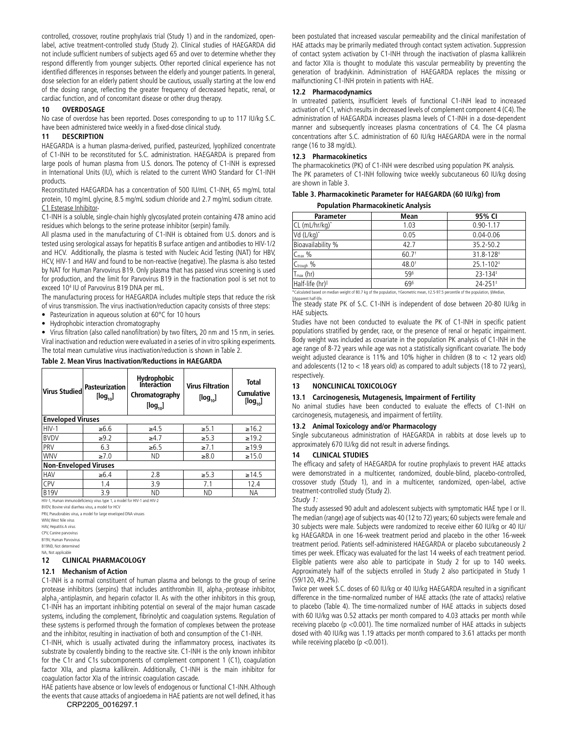<span id="page-6-0"></span>controlled, crossover, routine prophylaxis trial (Study 1) and in the randomized, openlabel, active treatment-controlled study (Study 2). Clinical studies of HAEGARDA did not include sufficient numbers of subjects aged 65 and over to determine whether they respond differently from younger subjects. Other reported clinical experience has not identified differences in responses between the elderly and younger patients. In general, dose selection for an elderly patient should be cautious, usually starting at the low end of the dosing range, reflecting the greater frequency of decreased hepatic, renal, or cardiac function, and of concomitant disease or other drug therapy.

#### **10 OVERDOSAGE**

No case of overdose has been reported. Doses corresponding to up to 117 IU/kg S.C. have been administered twice weekly in a fixed-dose clinical study.

#### **11 DESCRIPTION**

HAEGARDA is a human plasma-derived, purified, pasteurized, lyophilized concentrate of C1-INH to be reconstituted for S.C. administration. HAEGARDA is prepared from large pools of human plasma from U.S. donors. The potency of C1-INH is expressed in International Units (IU), which is related to the current WHO Standard for C1-INH products.

Reconstituted HAEGARDA has a concentration of 500 IU/mL C1-INH, 65 mg/mL total protein, 10 mg/mL glycine, 8.5 mg/mL sodium chloride and 2.7 mg/mL sodium citrate. C1 Esterase Inhibitor

C1-INH is a soluble, single-chain highly glycosylated protein containing 478 amino acid residues which belongs to the serine protease inhibitor (serpin) family.

All plasma used in the manufacturing of C1-INH is obtained from U.S. donors and is tested using serological assays for hepatitis B surface antigen and antibodies to HIV-1/2 and HCV. Additionally, the plasma is tested with Nucleic Acid Testing (NAT) for HBV, HCV, HIV-1 and HAV and found to be non-reactive (negative). The plasma is also tested by NAT for Human Parvovirus B19. Only plasma that has passed virus screening is used for production, and the limit for Parvovirus B19 in the fractionation pool is set not to exceed 104 IU of Parvovirus B19 DNA per mL.

The manufacturing process for HAEGARDA includes multiple steps that reduce the risk of virus transmission. The virus inactivation/reduction capacity consists of three steps:

Pasteurization in aqueous solution at 60°C for 10 hours

• Hydrophobic interaction chromatography

• Virus filtration (also called nanofiltration) by two filters, 20 nm and 15 nm, in series. Viral inactivation and reduction were evaluated in a series of in vitro spiking experiments. The total mean cumulative virus inactivation/reduction is shown in Table 2.

#### **Table 2. Mean Virus Inactivation/Reductions in HAEGARDA**

| <b>Pasteurization</b><br>$[\log_{10}]$ | <b>Hydrophobic</b><br><b>Interaction</b><br>Chromatography<br>$[log_{10}]$ | <b>Virus Filtration</b><br>$[log_{10}]$ | <b>Total</b><br><b>Cumulative</b><br>$[log_{10}]$ |  |  |  |
|----------------------------------------|----------------------------------------------------------------------------|-----------------------------------------|---------------------------------------------------|--|--|--|
| <b>Enveloped Viruses</b>               |                                                                            |                                         |                                                   |  |  |  |
| $\geq 6.6$                             | $\geq 4.5$                                                                 | $\ge 5.1$                               | $\geq 16.2$                                       |  |  |  |
| $\geq 9.2$                             | $\geq 4.7$                                                                 | $\geq 5.3$                              | $\geq 19.2$                                       |  |  |  |
| 6.3                                    | $\geq 6.5$                                                                 | $\geq 7.1$                              | $\ge$ 19.9                                        |  |  |  |
| $\geq 7.0$                             | ND                                                                         | $\geq 8.0$                              | $\ge 15.0$                                        |  |  |  |
| <b>Non-Enveloped Viruses</b>           |                                                                            |                                         |                                                   |  |  |  |
| $\geq 6.4$                             | 2.8                                                                        | $\geq 5.3$                              | $\geq 14.5$                                       |  |  |  |
| 1.4                                    | 3.9                                                                        | 7.1                                     | 12.4                                              |  |  |  |
| 3.9                                    | ND.                                                                        | ND                                      | ΝA                                                |  |  |  |
|                                        |                                                                            |                                         |                                                   |  |  |  |

HIV-1, Human immunodeficiency virus type 1, a model for HIV-1 and HIV-2 BVDV, Bovine viral diarrhea virus, a model for HCV

PRV, Pseudorabies virus, a model for large enveloped DNA viruses

WNV, West Nile virus

HAV, Hepatitis A virus CPV, Canine parvovirus

B19V, Human Parvovirus

B19ND, Not detern NA, Not applicable

#### **12 CLINICAL PHARMACOLOGY**

#### **12.1 Mechanism of Action**

C1-INH is a normal constituent of human plasma and belongs to the group of serine protease inhibitors (serpins) that includes antithrombin III, alpha<sub>1</sub>-protease inhibitor, alpha<sub>2</sub>-antiplasmin, and heparin cofactor II. As with the other inhibitors in this group, C1-INH has an important inhibiting potential on several of the major human cascade systems, including the complement, fibrinolytic and coagulation systems. Regulation of these systems is performed through the formation of complexes between the protease and the inhibitor, resulting in inactivation of both and consumption of the C1-INH.

C1-INH, which is usually activated during the inflammatory process, inactivates its substrate by covalently binding to the reactive site. C1-INH is the only known inhibitor for the C1r and C1s subcomponents of complement component 1 (C1), coagulation factor XIIa, and plasma kallikrein. Additionally, C1-INH is the main inhibitor for coagulation factor XIa of the intrinsic coagulation cascade.

HAE patients have absence or low levels of endogenous or functional C1-INH. Although the events that cause attacks of angioedema in HAE patients are not well defined, it has CRP2205\_0016297.1

been postulated that increased vascular permeability and the clinical manifestation of HAE attacks may be primarily mediated through contact system activation. Suppression of contact system activation by C1-INH through the inactivation of plasma kallikrein and factor XIIa is thought to modulate this vascular permeability by preventing the generation of bradykinin. Administration of HAEGARDA replaces the missing or malfunctioning C1-INH protein in patients with HAE.

#### **12.2 Pharmacodynamics**

In untreated patients, insufficient levels of functional C1-INH lead to increased activation of C1, which results in decreased levels of complement component 4 (C4). The administration of HAEGARDA increases plasma levels of C1-INH in a dose-dependent manner and subsequently increases plasma concentrations of C4. The C4 plasma concentrations after S.C. administration of 60 IU/kg HAEGARDA were in the normal range (16 to 38 mg/dL).

#### **12.3 Pharmacokinetics**

The pharmacokinetics (PK) of C1-INH were described using population PK analysis. The PK parameters of C1-INH following twice weekly subcutaneous 60 IU/kg dosing are shown in Table 3.

| Table 3. Pharmacokinetic Parameter for HAEGARDA (60 IU/kg) from |  |
|-----------------------------------------------------------------|--|
| <b>Population Pharmacokinetic Analysis</b>                      |  |

| <b>Parameter</b>      | Mean                | 95% CI                    |
|-----------------------|---------------------|---------------------------|
| CL (mL/hr/kg)*        | 1.03                | $0.90 - 1.17$             |
| Vd (L/kg)*            | 0.05                | $0.04 - 0.06$             |
| Bioavailability %     | 42.7                | 35.2-50.2                 |
| $C_{\text{max}}$ %    | $60.7$ <sup>t</sup> | $31.8 - 128$ <sup>#</sup> |
| $C_{trough}$ %        | $48.0^{+}$          | $25.1 - 102$ <sup>‡</sup> |
| $T_{\text{max}}$ (hr) | 59§                 | $23 - 134$ <sup>#</sup>   |
| Half-life (hr)        | 69 <sup>5</sup>     | $24 - 251$ <sup>#</sup>   |

\*Calculated based on median weight of 80.7 kg of the population, †Geometric mean, ‡2.5-97.5 percentile of the population, §Median,

||Apparent half-life. The steady state PK of S.C. C1-INH is independent of dose between 20-80 IU/kg in HAE subjects.

Studies have not been conducted to evaluate the PK of C1-INH in specific patient populations stratified by gender, race, or the presence of renal or hepatic impairment. Body weight was included as covariate in the population PK analysis of C1-INH in the age range of 8-72 years while age was not a statistically significant covariate. The body weight adjusted clearance is 11% and 10% higher in children (8 to < 12 years old) and adolescents (12 to < 18 years old) as compared to adult subjects (18 to 72 years), respectively.

#### **13 NONCLINICAL TOXICOLOGY**

#### **13.1 Carcinogenesis, Mutagenesis, Impairment of Fertility**

No animal studies have been conducted to evaluate the effects of C1-INH on carcinogenesis, mutagenesis, and impairment of fertility.

#### **13.2 Animal Toxicology and/or Pharmacology**

Single subcutaneous administration of HAEGARDA in rabbits at dose levels up to approximately 670 IU/kg did not result in adverse findings.

#### **14 CLINICAL STUDIES**

The efficacy and safety of HAEGARDA for routine prophylaxis to prevent HAE attacks were demonstrated in a multicenter, randomized, double-blind, placebo-controlled, crossover study (Study 1), and in a multicenter, randomized, open-label, active treatment-controlled study (Study 2).

#### *Study 1:*

The study assessed 90 adult and adolescent subjects with symptomatic HAE type I or II. The median (range) age of subjects was 40 (12 to 72) years; 60 subjects were female and 30 subjects were male. Subjects were randomized to receive either 60 IU/kg or 40 IU/ kg HAEGARDA in one 16-week treatment period and placebo in the other 16-week treatment period. Patients self-administered HAEGARDA or placebo subcutaneously 2 times per week. Efficacy was evaluated for the last 14 weeks of each treatment period. Eligible patients were also able to participate in Study 2 for up to 140 weeks. Approximately half of the subjects enrolled in Study 2 also participated in Study 1 (59/120, 49.2%).

Twice per week S.C. doses of 60 IU/kg or 40 IU/kg HAEGARDA resulted in a significant difference in the time-normalized number of HAE attacks (the rate of attacks) relative to placebo (Table 4). The time-normalized number of HAE attacks in subjects dosed with 60 IU/kg was 0.52 attacks per month compared to 4.03 attacks per month while receiving placebo (p <0.001). The time normalized number of HAE attacks in subjects dosed with 40 IU/kg was 1.19 attacks per month compared to 3.61 attacks per month while receiving placebo (p <0.001).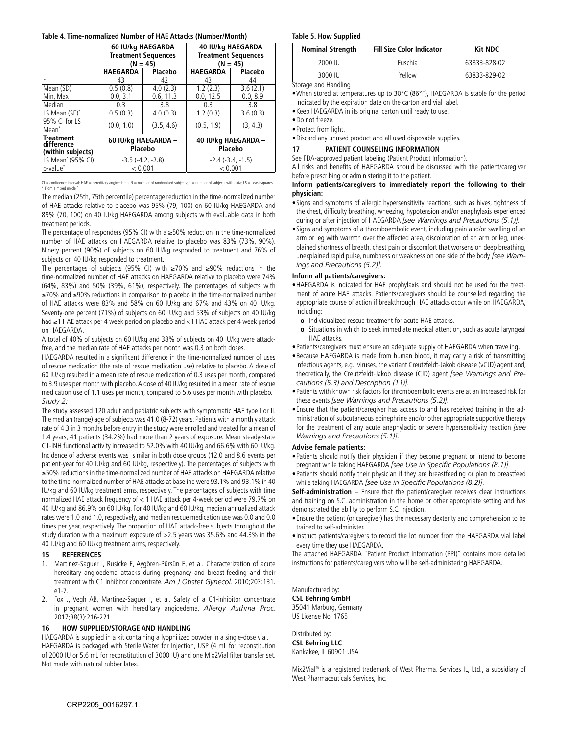#### <span id="page-7-0"></span>**Table 4. Time-normalized Number of HAE Attacks (Number/Month)**

|                                                     | <b>Treatment Sequences</b><br>$(N = 45)$ | 60 IU/kg HAEGARDA | 40 IU/kg HAEGARDA<br><b>Treatment Sequences</b><br>$(N = 45)$ |          |  |
|-----------------------------------------------------|------------------------------------------|-------------------|---------------------------------------------------------------|----------|--|
|                                                     | <b>HAEGARDA</b>                          | Placebo           | <b>HAEGARDA</b>                                               | Placebo  |  |
| n                                                   | 43                                       | 42                | 43                                                            | 44       |  |
| Mean (SD)                                           | 0.5(0.8)                                 | 4.0(2.3)          | 1.2(2.3)                                                      | 3.6(2.1) |  |
| Min. Max                                            | 0.0, 3.1                                 | 0.6, 11.3         | 0.0, 12.5                                                     | 0.0, 8.9 |  |
| Median                                              | 0.3                                      | 3.8               | 0.3                                                           | 3.8      |  |
| LS Mean (SE)*                                       | 0.5(0.3)                                 | 4.0(0.3)          | 1.2(0.3)                                                      | 3.6(0.3) |  |
| 95% CI for LS<br>Mean <sup>'</sup>                  | (0.0, 1.0)                               | (3.5, 4.6)        | (0.5, 1.9)                                                    | (3, 4.3) |  |
| <b>Treatment</b><br>difference<br>(within subjects) | 60 IU/kg HAEGARDA -<br>Placebo           |                   | 40 IU/kg HAEGARDA -<br>Placebo                                |          |  |
| LS Mean' (95% CI)                                   | $-3.5(-4.2, -2.8)$                       |                   | $-2.4$ ( $-3.4$ , $-1.5$ )                                    |          |  |
| p-value <sup>*</sup>                                | < 0.001                                  |                   | < 0.001                                                       |          |  |

CI = confidence interval; HAE = hereditary angioedema; N = number of randomized subjects; n = number of subjects with data; LS = Least squares.<br>\* From a mixed model

The median (25th, 75th percentile) percentage reduction in the time-normalized number of HAE attacks relative to placebo was 95% (79, 100) on 60 IU/kg HAEGARDA and 89% (70, 100) on 40 IU/kg HAEGARDA among subjects with evaluable data in both treatment periods.

The percentage of responders (95% CI) with a ≥50% reduction in the time normalized number of HAE attacks on HAEGARDA relative to placebo was 83% (73%, 90%). Ninety percent (90%) of subjects on 60 IU/kg responded to treatment and 76% of subjects on 40 IU/kg responded to treatment.

The percentages of subjects (95% CI) with ≥70% and ≥90% reductions in the time normalized number of HAE attacks on HAEGARDA relative to placebo were 74% (64%, 83%) and 50% (39%, 61%), respectively. The percentages of subjects with ≥70% and ≥90% reductions in comparison to placebo in the time-normalized number of HAE attacks were 83% and 58% on 60 IU/kg and 67% and 43% on 40 IU/kg. Seventy-one percent (71%) of subjects on 60 IU/kg and 53% of subjects on 40 IU/kg had ≥1 HAE attack per 4 week period on placebo and <1 HAE attack per 4 week period on HAEGARDA.

A total of 40% of subjects on 60 IU/kg and 38% of subjects on 40 IU/kg were attackfree, and the median rate of HAE attacks per month was 0.3 on both doses.

HAEGARDA resulted in a significant difference in the time-normalized number of uses of rescue medication (the rate of rescue medication use) relative to placebo. A dose of 60 IU/kg resulted in a mean rate of rescue medication of 0.3 uses per month, compared to 3.9 uses per month with placebo. A dose of 40 IU/kg resulted in a mean rate of rescue medication use of 1.1 uses per month, compared to 5.6 uses per month with placebo. *Study 2:*

The study assessed 120 adult and pediatric subjects with symptomatic HAE type I or II. The median (range) age of subjects was 41.0 (8-72) years. Patients with a monthly attack rate of 4.3 in 3 months before entry in the study were enrolled and treated for a mean of 1.4 years; 41 patients (34.2%) had more than 2 years of exposure. Mean steady-state C1-INH functional activity increased to 52.0% with 40 IU/kg and 66.6% with 60 IU/kg. Incidence of adverse events was similar in both dose groups (12.0 and 8.6 events per patient-year for 40 IU/kg and 60 IU/kg, respectively). The percentages of subjects with ≥50% reductions in the time-normalized number of HAE attacks on HAEGARDA relative to the time-normalized number of HAE attacks at baseline were 93.1% and 93.1% in 40 IU/kg and 60 IU/kg treatment arms, respectively. The percentages of subjects with time normalized HAE attack frequency of < 1 HAE attack per 4-week period were 79.7% on 40 IU/kg and 86.9% on 60 IU/kg. For 40 IU/kg and 60 IU/kg, median annualized attack rates were 1.0 and 1.0, respectively, and median rescue medication use was 0.0 and 0.0 times per year, respectively. The proportion of HAE attack-free subjects throughout the study duration with a maximum exposure of >2.5 years was 35.6% and 44.3% in the 40 IU/kg and 60 IU/kg treatment arms, respectively.

#### **15 REFERENCES**

- 1. Martinez-Saguer I, Rusicke E, Aygören-Pürsün E, et al. Characterization of acute hereditary angioedema attacks during pregnancy and breast-feeding and their treatment with C1 inhibitor concentrate. *Am J Obstet Gynecol.* 2010;203:131.  $-1 - 7$
- 2. Fox J, Vegh AB, Martinez-Saguer I, et al. Safety of a C1-inhibitor concentrate in pregnant women with hereditary angioedema. *Allergy Asthma Proc*. 2017;38(3):216-221

#### **16 HOW SUPPLIED/STORAGE AND HANDLING**

HAEGARDA is supplied in a kit containing a lyophilized powder in a single-dose vial. HAEGARDA is packaged with Sterile Water for Injection, USP (4 mL for reconstitution of 2000 IU or 5.6 mL for reconstitution of 3000 IU) and one Mix2Vial filter transfer set. Not made with natural rubber latex.

#### **Table 5. How Supplied**

| <b>Nominal Strength</b> | <b>Fill Size Color Indicator</b> | <b>Kit NDC</b> |
|-------------------------|----------------------------------|----------------|
| 2000 IU                 | Fuschia                          | 63833-828-02   |
| 3000 IU                 | Yellow                           | 63833-829-02   |
| Storage and Handling    |                                  |                |

- •When stored at temperatures up to 30°C (86°F), HAEGARDA is stable for the period indicated by the expiration date on the carton and vial label.
- •Keep HAEGARDA in its original carton until ready to use.

•Do not freeze.

•Protect from light.

•Discard any unused product and all used disposable supplies.

## **17 PATIENT COUNSELING INFORMATION**

See FDA-approved patient labeling (Patient Product Information).

All risks and benefits of HAEGARDA should be discussed with the patient/caregiver before prescribing or administering it to the patient.

#### **Inform patients/caregivers to immediately report the following to their physician:**

- •Signs and symptoms of allergic hypersensitivity reactions, such as hives, tightness of the chest, difficulty breathing, wheezing, hypotension and/or anaphylaxis experienced during or after injection of HAEGARDA *[see Warnings and Precautions (5.1)].*
- •Signs and symptoms of a thromboembolic event, including pain and/or swelling of an arm or leg with warmth over the affected area, discoloration of an arm or leg, unexplained shortness of breath, chest pain or discomfort that worsens on deep breathing, unexplained rapid pulse, numbness or weakness on one side of the body *[see Warnings and Precautions (5.2)]*.

#### **Inform all patients/caregivers:**

- •HAEGARDA is indicated for HAE prophylaxis and should not be used for the treatment of acute HAE attacks. Patients/caregivers should be counselled regarding the appropriate course of action if breakthrough HAE attacks occur while on HAEGARDA, including:
	- **o** Individualized rescue treatment for acute HAE attacks.
	- **o** Situations in which to seek immediate medical attention, such as acute laryngeal HAE attacks.
- •Patients/caregivers must ensure an adequate supply of HAEGARDA when traveling.
- •Because HAEGARDA is made from human blood, it may carry a risk of transmitting infectious agents, e.g., viruses, the variant Creutzfeldt-Jakob disease (vCJD) agent and, theoretically, the Creutzfeldt-Jakob disease (CJD) agent *[see Warnings and Precautions (5.3) and Description (11)].*
- •Patients with known risk factors for thromboembolic events are at an increased risk for these events *[see Warnings and Precautions (5.2)]*.
- •Ensure that the patient/caregiver has access to and has received training in the administration of subcutaneous epinephrine and/or other appropriate supportive therapy for the treatment of any acute anaphylactic or severe hypersensitivity reaction *[see Warnings and Precautions (5.1)]*.

#### **Advise female patients:**

- •Patients should notify their physician if they become pregnant or intend to become pregnant while taking HAEGARDA *[see Use in Specific Populations (8.1)]*.
- •Patients should notify their physician if they are breastfeeding or plan to breastfeed while taking HAEGARDA *[see Use in Specific Populations (8.2)]*.

**Self-administration –** Ensure that the patient/caregiver receives clear instructions and training on S.C. administration in the home or other appropriate setting and has demonstrated the ability to perform S.C. injection.

- •Ensure the patient (or caregiver) has the necessary dexterity and comprehension to be trained to self-administer.
- •Instruct patients/caregivers to record the lot number from the HAEGARDA vial label every time they use HAEGARDA.

The attached HAEGARDA "Patient Product Information (PPI)" contains more detailed instructions for patients/caregivers who will be self-administering HAEGARDA.

Manufactured by: **CSL Behring GmbH** 35041 Marburg, Germany US License No. 1765

Distributed by: **CSL Behring LLC** Kankakee, IL 60901 USA

Mix2Vial® is a registered trademark of West Pharma. Services IL, Ltd., a subsidiary of West Pharmaceuticals Services, Inc.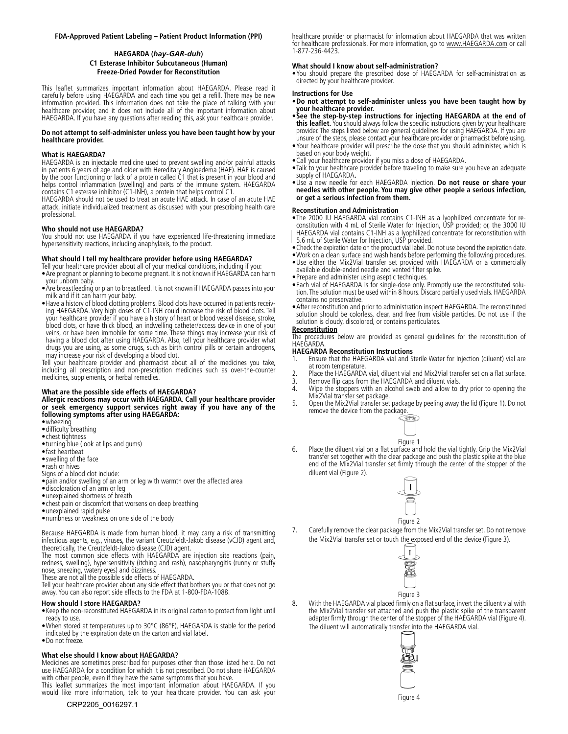#### **FDA-Approved Patient Labeling – Patient Product Information (PPI)**

#### **HAEGARDA (***hay-GAR-duh***) C1 Esterase Inhibitor Subcutaneous (Human) Freeze-Dried Powder for Reconstitution**

This leaflet summarizes important information about HAEGARDA. Please read it carefully before using HAEGARDA and each time you get a refill. There may be new information provided. This information does not take the place of talking with your healthcare provider, and it does not include all of the important information about HAEGARDA. If you have any questions after reading this, ask your healthcare provider.

#### **Do not attempt to self-administer unless you have been taught how by your healthcare provider.**

#### **What is HAEGARDA?**

HAEGARDA is an injectable medicine used to prevent swelling and/or painful attacks in patients 6 years of age and older with Hereditary Angioedema (HAE). HAE is caused by the poor functioning or lack of a protein called C1 that is present in your blood and helps control inflammation (swelling) and parts of the immune system. HAEGARDA contains C1 esterase inhibitor (C1-INH), a protein that helps control C1.

HAEGARDA should not be used to treat an acute HAE attack. In case of an acute HAE attack, initiate individualized treatment as discussed with your prescribing health care professional.

#### **Who should not use HAEGARDA?**

You should not use HAEGARDA if you have experienced life-threatening immediate hypersensitivity reactions, including anaphylaxis, to the product.

#### **What should I tell my healthcare provider before using HAEGARDA?**

Tell your healthcare provider about all of your medical conditions, including if you: •Are pregnant or planning to become pregnant. It is not known if HAEGARDA can harm your unborn baby.

- •Are breastfeeding or plan to breastfeed. It is not known if HAEGARDA passes into your milk and if it can harm your baby.
- Have a history of blood clotting problems. Blood clots have occurred in patients receiving HAEGARDA. Very high doses of C1-INH could increase the risk of blood clots. Tell your healthcare provider if you have a history of heart or blood vessel disease, stroke, blood clots, or have thick blood, an indwelling catheter/access device in one of your veins, or have been immobile for some time. These things may increase your risk of having a blood clot after using HAEGARDA. Also, tell your healthcare provider what drugs you are using, as some drugs, such as birth control pills or certain androgens, may increase your risk of developing a blood clot.

Tell your healthcare provider and pharmacist about all of the medicines you take, including all prescription and non-prescription medicines such as over-the-counter medicines, supplements, or herbal remedies.

#### **What are the possible side effects of HAEGARDA?**

**Allergic reactions may occur with HAEGARDA. Call your healthcare provider or seek emergency support services right away if you have any of the following symptoms after using HAEGARDA:**

- •wheezing
- •difficulty breathing
- •chest tightness •turning blue (look at lips and gums)
- •fast heartbeat
- •swelling of the face
- •rash or hives
- Signs of a blood clot include:
- •pain and/or swelling of an arm or leg with warmth over the affected area
- •discoloration of an arm or leg
- •unexplained shortness of breath
- •chest pain or discomfort that worsens on deep breathing
- •unexplained rapid pulse
- •numbness or weakness on one side of the body

Because HAEGARDA is made from human blood, it may carry a risk of transmitting infectious agents, e.g., viruses, the variant Creutzfeldt-Jakob disease (vCJD) agent and, theoretically, the Creutzfeldt-Jakob disease (CJD) agent.

The most common side effects with HAEGARDA are injection site reactions (pain, redness, swelling), hypersensitivity (itching and rash), nasopharyngitis (runny or stuffy nose, sneezing, watery eyes) and dizziness.

These are not all the possible side effects of HAEGARDA.

Tell your healthcare provider about any side effect that bothers you or that does not go away. You can also report side effects to the FDA at 1-800-FDA-1088.

#### **How should I store HAEGARDA?**

- •Keep the non-reconstituted HAEGARDA in its original carton to protect from light until ready to use.
- •When stored at temperatures up to 30°C (86°F), HAEGARDA is stable for the period indicated by the expiration date on the carton and vial label.
- •Do not freeze.

#### **What else should I know about HAEGARDA?**

Medicines are sometimes prescribed for purposes other than those listed here. Do not use HAEGARDA for a condition for which it is not prescribed. Do not share HAEGARDA with other people, even if they have the same symptoms that you have.

This leaflet summarizes the most important information about HAEGARDA. If you would like more information, talk to your healthcare provider. You can ask your

CRP2205\_0016297.1

healthcare provider or pharmacist for information about HAEGARDA that was written for healthcare professionals. For more information, go to [www.HAEGARDA.com](https://www.haegarda.com/) or call 1-877-236-4423.

#### **What should I know about self-administration?**

•You should prepare the prescribed dose of HAEGARDA for self-administration as directed by your healthcare provider.

#### **Instructions for Use**

- •**Do not attempt to self-administer unless you have been taught how by your healthcare provider.**
- •**See the step-by-step instructions for injecting HAEGARDA at the end of this leaflet.** You should always follow the specific instructions given by your healthcare provider. The steps listed below are general guidelines for using HAEGARDA. If you are unsure of the steps, please contact your healthcare provider or pharmacist before using.
- •Your healthcare provider will prescribe the dose that you should administer, which is based on your body weight.
- •Call your healthcare provider if you miss a dose of HAEGARDA.
- •Talk to your healthcare provider before traveling to make sure you have an adequate supply of HAEGARDA**.**
- •Use a new needle for each HAEGARDA injection. **Do not reuse or share your needles with other people. You may give other people a serious infection, or get a serious infection from them.**

#### **Reconstitution and Administration**

•The 2000 IU HAEGARDA vial contains C1-INH as a lyophilized concentrate for reconstitution with 4 mL of Sterile Water for Injection, USP provided; or, the 3000 IU HAEGARDA vial contains C1-INH as a lyophilized concentrate for reconstitution with 5.6 mL of Sterile Water for Injection, USP provided.

- •Check the expiration date on the product vial label. Do not use beyond the expiration date.
- •Work on a clean surface and wash hands before performing the following procedures.
- •Use either the Mix2Vial transfer set provided with HAEGARDA or a commercially available double-ended needle and vented filter spike.
- •Prepare and administer using aseptic techniques.
- •Each vial of HAEGARDA is for single-dose only. Promptly use the reconstituted solution. The solution must be used within 8 hours. Discard partially used vials. HAEGARDA contains no preservative.
- •After reconstitution and prior to administration inspect HAEGARDA. The reconstituted solution should be colorless, clear, and free from visible particles. Do not use if the solution is cloudy, discolored, or contains particulates.

#### **Reconstitution**

The procedures below are provided as general guidelines for the reconstitution of HAEGARDA.

#### **HAEGARDA Reconstitution Instructions**

- 1. Ensure that the HAEGARDA vial and Sterile Water for Injection (diluent) vial are at room temperature.
- 2. Place the HAEGARDA vial, diluent vial and Mix2Vial transfer set on a flat surface.<br>3. Remove flip caps from the HAEGARDA and diluent vials.
- 3. Remove flip caps from the HAEGARDA and diluent vials.<br>4. Wipe the stoppers with an alcohol swab and allow to
- Wipe the stoppers with an alcohol swab and allow to dry prior to opening the Mix2Vial transfer set package.
- 5. Open the Mix2Vial transfer set package by peeling away the lid (Figure 1). Do not remove the device from the package.



6. Place the diluent vial on a flat surface and hold the vial tightly. Grip the Mix2Vial transfer set together with the clear package and push the plastic spike at the blue end of the Mix2Vial transfer set firmly through the center of the stopper of the diluent vial (Figure 2).



7. Carefully remove the clear package from the Mix2Vial transfer set. Do not remove the Mix2Vial transfer set or touch the exposed end of the device (Figure 3).



8. With the HAEGARDA vial placed firmly on a flat surface, invert the diluent vial with the Mix2Vial transfer set attached and push the plastic spike of the transparent adapter firmly through the center of the stopper of the HAEGARDA vial (Figure 4). The diluent will automatically transfer into the HAEGARDA vial.



Figure 4